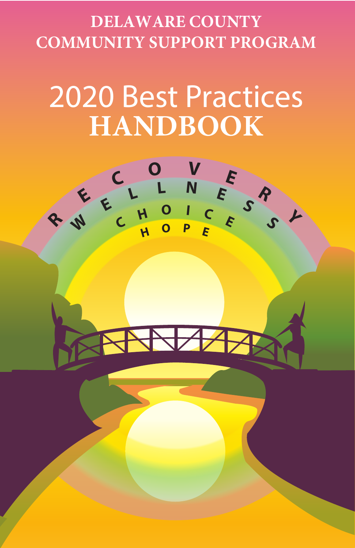# **DELAWARE COUNTY COMMUNITY SUPPORT PROGRAM**

# 2020 Best Practices **HANDBOOK**

**<sup>O</sup> <sup>V</sup> <sup>E</sup>**

**<sup>L</sup> <sup>L</sup> <sup>N</sup> <sup>E</sup> <sup>S</sup>**

**H <sup>O</sup> <sup>P</sup> <sup>E</sup>**

 $\bigvee$ 

**<sup>O</sup> <sup>I</sup> <sup>C</sup> <sup>E</sup>**

**R**

**S**

**Y**

**R**

**E**

**W**

**C**

**C<sup>H</sup>**

**E**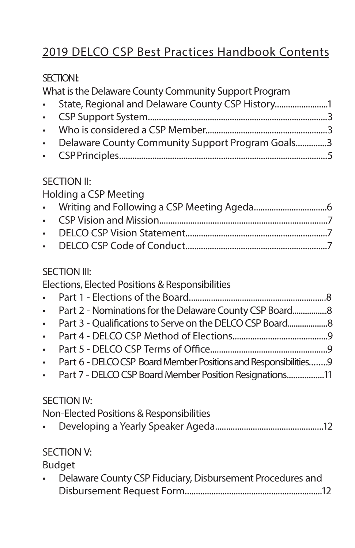# 2019 DELCO CSP Best Practices Handbook Contents

# SECTION I:

What is the Delaware County Community Support Program

| • State, Regional and Delaware County CSP History  |  |
|----------------------------------------------------|--|
|                                                    |  |
|                                                    |  |
| • Delaware County Community Support Program Goals3 |  |
|                                                    |  |

#### SECTION II:

Holding a CSP Meeting

# SECTION III:

|             | JLJIVITIK                                                        |  |
|-------------|------------------------------------------------------------------|--|
|             | Elections, Elected Positions & Responsibilities                  |  |
| $\bullet$   |                                                                  |  |
| $\bullet$ . |                                                                  |  |
| $\bullet$ . |                                                                  |  |
| $\bullet$   |                                                                  |  |
| $\bullet$   |                                                                  |  |
| $\bullet$   | Part 6 - DELCO CSP Board Member Positions and Responsibilities 9 |  |
|             | • Part 7 - DELCO CSP Board Member Position Resignations11        |  |
|             | <b>SECTION IV:</b>                                               |  |
|             | Non-Elected Positions & Responsibilities                         |  |
|             |                                                                  |  |

# SECTION V:

Budget

| Delaware County CSP Fiduciary, Disbursement Procedures and |
|------------------------------------------------------------|
|                                                            |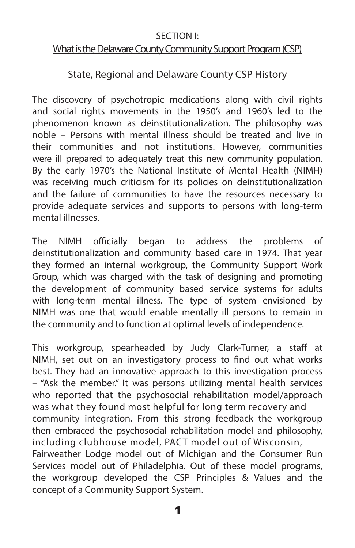#### SECTION I:

#### What is the Delaware County Community Support Program (CSP)

#### State, Regional and Delaware County CSP History

The discovery of psychotropic medications along with civil rights and social rights movements in the 1950's and 1960's led to the phenomenon known as deinstitutionalization. The philosophy was noble – Persons with mental illness should be treated and live in their communities and not institutions. However, communities were ill prepared to adequately treat this new community population. By the early 1970's the National Institute of Mental Health (NIMH) was receiving much criticism for its policies on deinstitutionalization and the failure of communities to have the resources necessary to provide adequate services and supports to persons with long-term mental illnesses.

The NIMH officially began to address the problems of deinstitutionalization and community based care in 1974. That year they formed an internal workgroup, the Community Support Work Group, which was charged with the task of designing and promoting the development of community based service systems for adults with long-term mental illness. The type of system envisioned by NIMH was one that would enable mentally ill persons to remain in the community and to function at optimal levels of independence.

This workgroup, spearheaded by Judy Clark-Turner, a staff at NIMH, set out on an investigatory process to find out what works best. They had an innovative approach to this investigation process – "Ask the member." It was persons utilizing mental health services who reported that the psychosocial rehabilitation model/approach was what they found most helpful for long term recovery and community integration. From this strong feedback the workgroup then embraced the psychosocial rehabilitation model and philosophy, including clubhouse model, PACT model out of Wisconsin, Fairweather Lodge model out of Michigan and the Consumer Run Services model out of Philadelphia. Out of these model programs, the workgroup developed the CSP Principles & Values and the concept of a Community Support System.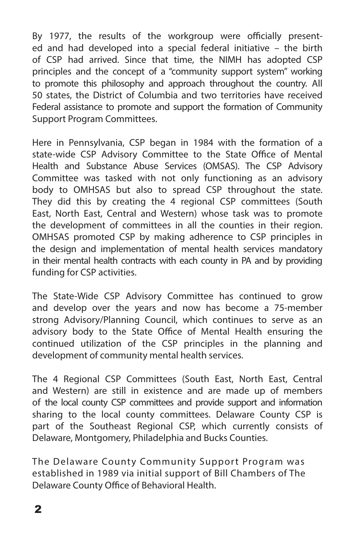By 1977, the results of the workgroup were officially presented and had developed into a special federal initiative – the birth of CSP had arrived. Since that time, the NIMH has adopted CSP principles and the concept of a "community support system" working to promote this philosophy and approach throughout the country. All 50 states, the District of Columbia and two territories have received Federal assistance to promote and support the formation of Community Support Program Committees.

Here in Pennsylvania, CSP began in 1984 with the formation of a state-wide CSP Advisory Committee to the State Office of Mental Health and Substance Abuse Services (OMSAS). The CSP Advisory Committee was tasked with not only functioning as an advisory body to OMHSAS but also to spread CSP throughout the state. They did this by creating the 4 regional CSP committees (South East, North East, Central and Western) whose task was to promote the development of committees in all the counties in their region. OMHSAS promoted CSP by making adherence to CSP principles in the design and implementation of mental health services mandatory in their mental health contracts with each county in PA and by providing funding for CSP activities.

The State-Wide CSP Advisory Committee has continued to grow and develop over the years and now has become a 75-member strong Advisory/Planning Council, which continues to serve as an advisory body to the State Office of Mental Health ensuring the continued utilization of the CSP principles in the planning and development of community mental health services.

The 4 Regional CSP Committees (South East, North East, Central and Western) are still in existence and are made up of members of the local county CSP committees and provide support and information sharing to the local county committees. Delaware County CSP is part of the Southeast Regional CSP, which currently consists of Delaware, Montgomery, Philadelphia and Bucks Counties.

The Delaware County Community Support Program was established in 1989 via initial support of Bill Chambers of The Delaware County Office of Behavioral Health.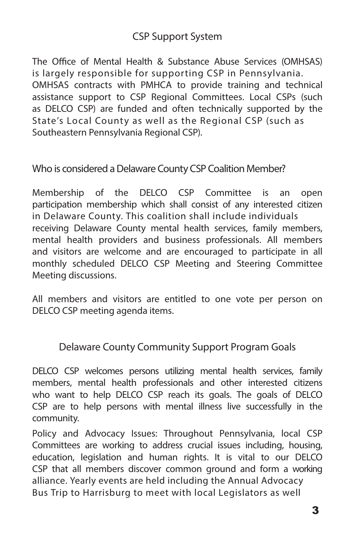# CSP Support System

The Office of Mental Health & Substance Abuse Services (OMHSAS) is largely responsible for supporting CSP in Pennsylvania. OMHSAS contracts with PMHCA to provide training and technical assistance support to CSP Regional Committees. Local CSPs (such as DELCO CSP) are funded and often technically supported by the State's Local County as well as the Regional CSP (such as Southeastern Pennsylvania Regional CSP).

Who is considered a Delaware County CSP Coalition Member?

Membership of the DELCO CSP Committee is an open participation membership which shall consist of any interested citizen in Delaware County. This coalition shall include individuals receiving Delaware County mental health services, family members, mental health providers and business professionals. All members and visitors are welcome and are encouraged to participate in all monthly scheduled DELCO CSP Meeting and Steering Committee Meeting discussions.

All members and visitors are entitled to one vote per person on DELCO CSP meeting agenda items.

Delaware County Community Support Program Goals

DELCO CSP welcomes persons utilizing mental health services, family members, mental health professionals and other interested citizens who want to help DELCO CSP reach its goals. The goals of DELCO CSP are to help persons with mental illness live successfully in the community.

Policy and Advocacy Issues: Throughout Pennsylvania, local CSP Committees are working to address crucial issues including, housing, education, legislation and human rights. It is vital to our DELCO CSP that all members discover common ground and form a working alliance. Yearly events are held including the Annual Advocacy Bus Trip to Harrisburg to meet with local Legislators as well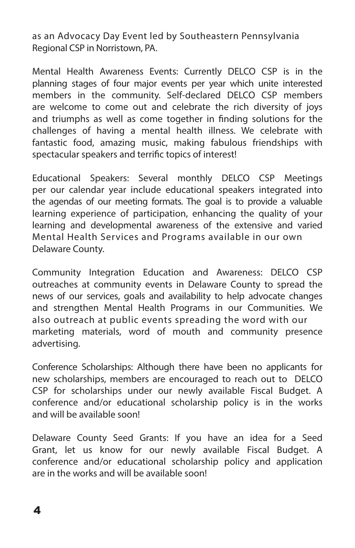as an Advocacy Day Event led by Southeastern Pennsylvania Regional CSP in Norristown, PA.

Mental Health Awareness Events: Currently DELCO CSP is in the planning stages of four major events per year which unite interested members in the community. Self-declared DELCO CSP members are welcome to come out and celebrate the rich diversity of joys and triumphs as well as come together in finding solutions for the challenges of having a mental health illness. We celebrate with fantastic food, amazing music, making fabulous friendships with spectacular speakers and terrific topics of interest!

Educational Speakers: Several monthly DELCO CSP Meetings per our calendar year include educational speakers integrated into the agendas of our meeting formats. The goal is to provide a valuable learning experience of participation, enhancing the quality of your learning and developmental awareness of the extensive and varied Mental Health Services and Programs available in our own Delaware County.

Community Integration Education and Awareness: DELCO CSP outreaches at community events in Delaware County to spread the news of our services, goals and availability to help advocate changes and strengthen Mental Health Programs in our Communities. We also outreach at public events spreading the word with our marketing materials, word of mouth and community presence advertising.

Conference Scholarships: Although there have been no applicants for new scholarships, members are encouraged to reach out to DELCO CSP for scholarships under our newly available Fiscal Budget. A conference and/or educational scholarship policy is in the works and will be available soon!

Delaware County Seed Grants: If you have an idea for a Seed Grant, let us know for our newly available Fiscal Budget. A conference and/or educational scholarship policy and application are in the works and will be available soon!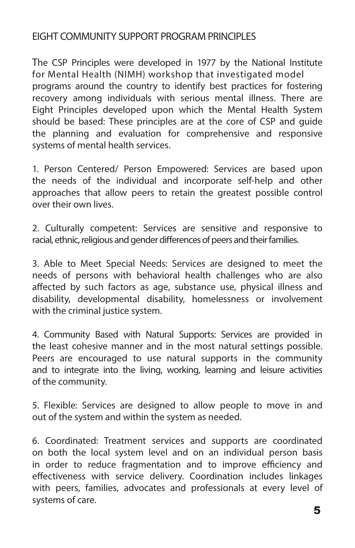# EIGHT COMMUNITY SUPPORT PROGRAM PRINCIPLES

The CSP Principles were developed in 1977 by the National Institute for Mental Health (NIMH) workshop that investigated model programs around the country to identify best practices for fostering recovery among individuals with serious mental illness. There are Eight Principles developed upon which the Mental Health System should be based: These principles are at the core of CSP and guide the planning and evaluation for comprehensive and responsive systems of mental health services.

1. Person Centered/ Person Empowered: Services are based upon the needs of the individual and incorporate self-help and other approaches that allow peers to retain the greatest possible control over their own lives.

2. Culturally competent: Services are sensitive and responsive to racial, ethnic, religious and gender differences of peers and their families.

3. Able to Meet Special Needs: Services are designed to meet the needs of persons with behavioral health challenges who are also affected by such factors as age, substance use, physical illness and disability, developmental disability, homelessness or involvement with the criminal justice system.

4. Community Based with Natural Supports: Services are provided in the least cohesive manner and in the most natural settings possible. Peers are encouraged to use natural supports in the community and to integrate into the living, working, learning and leisure activities of the community.

5. Flexible: Services are designed to allow people to move in and out of the system and within the system as needed.

6. Coordinated: Treatment services and supports are coordinated on both the local system level and on an individual person basis in order to reduce fragmentation and to improve efficiency and effectiveness with service delivery. Coordination includes linkages with peers, families, advocates and professionals at every level of systems of care.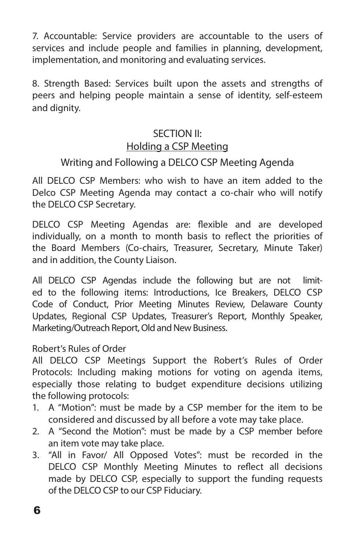7. Accountable: Service providers are accountable to the users of services and include people and families in planning, development, implementation, and monitoring and evaluating services.

8. Strength Based: Services built upon the assets and strengths of peers and helping people maintain a sense of identity, self-esteem and dignity.

# SECTION II: Holding a CSP Meeting

# Writing and Following a DELCO CSP Meeting Agenda

All DELCO CSP Members: who wish to have an item added to the Delco CSP Meeting Agenda may contact a co-chair who will notify the DELCO CSP Secretary.

DELCO CSP Meeting Agendas are: flexible and are developed individually, on a month to month basis to reflect the priorities of the Board Members (Co-chairs, Treasurer, Secretary, Minute Taker) and in addition, the County Liaison.

All DELCO CSP Agendas include the following but are not limited to the following items: Introductions, Ice Breakers, DELCO CSP Code of Conduct, Prior Meeting Minutes Review, Delaware County Updates, Regional CSP Updates, Treasurer's Report, Monthly Speaker, Marketing/Outreach Report, Old and New Business.

#### Robert's Rules of Order

All DELCO CSP Meetings Support the Robert's Rules of Order Protocols: Including making motions for voting on agenda items, especially those relating to budget expenditure decisions utilizing the following protocols:

- 1. A "Motion": must be made by a CSP member for the item to be considered and discussed by all before a vote may take place.
- 2. A "Second the Motion": must be made by a CSP member before an item vote may take place.
- 3. "All in Favor/ All Opposed Votes": must be recorded in the DELCO CSP Monthly Meeting Minutes to reflect all decisions made by DELCO CSP, especially to support the funding requests of the DELCO CSP to our CSP Fiduciary.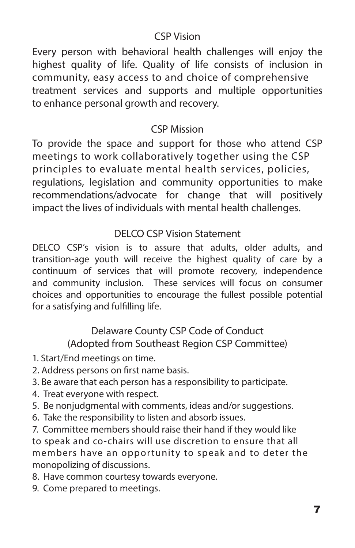# CSP Vision

Every person with behavioral health challenges will enjoy the highest quality of life. Quality of life consists of inclusion in community, easy access to and choice of comprehensive treatment services and supports and multiple opportunities to enhance personal growth and recovery.

# CSP Mission

To provide the space and support for those who attend CSP meetings to work collaboratively together using the CSP principles to evaluate mental health services, policies, regulations, legislation and community opportunities to make recommendations/advocate for change that will positively impact the lives of individuals with mental health challenges.

# DELCO CSP Vision Statement

DELCO CSP's vision is to assure that adults, older adults, and transition-age youth will receive the highest quality of care by a continuum of services that will promote recovery, independence and community inclusion. These services will focus on consumer choices and opportunities to encourage the fullest possible potential for a satisfying and fulfilling life.

# Delaware County CSP Code of Conduct (Adopted from Southeast Region CSP Committee)

- 1. Start/End meetings on time.
- 2. Address persons on first name basis.
- 3. Be aware that each person has a responsibility to participate.
- 4. Treat everyone with respect.
- 5. Be nonjudgmental with comments, ideas and/or suggestions.
- 6. Take the responsibility to listen and absorb issues.

7. Committee members should raise their hand if they would like to speak and co-chairs will use discretion to ensure that all members have an opportunity to speak and to deter the monopolizing of discussions.

- 8. Have common courtesy towards everyone.
- 9. Come prepared to meetings.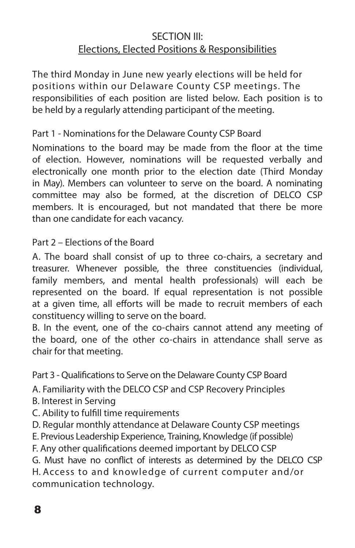# SECTION III: Elections, Elected Positions & Responsibilities

The third Monday in June new yearly elections will be held for positions within our Delaware County CSP meetings. The responsibilities of each position are listed below. Each position is to be held by a regularly attending participant of the meeting.

#### Part 1 - Nominations for the Delaware County CSP Board

Nominations to the board may be made from the floor at the time of election. However, nominations will be requested verbally and electronically one month prior to the election date (Third Monday in May). Members can volunteer to serve on the board. A nominating committee may also be formed, at the discretion of DELCO CSP members. It is encouraged, but not mandated that there be more than one candidate for each vacancy.

#### Part 2 – Elections of the Board

A. The board shall consist of up to three co-chairs, a secretary and treasurer. Whenever possible, the three constituencies (individual, family members, and mental health professionals) will each be represented on the board. If equal representation is not possible at a given time, all efforts will be made to recruit members of each constituency willing to serve on the board.

B. In the event, one of the co-chairs cannot attend any meeting of the board, one of the other co-chairs in attendance shall serve as chair for that meeting.

Part 3 - Qualifications to Serve on the Delaware County CSP Board

A. Familiarity with the DELCO CSP and CSP Recovery Principles

- B. Interest in Serving
- C. Ability to fulfill time requirements
- D. Regular monthly attendance at Delaware County CSP meetings
- E. Previous Leadership Experience, Training, Knowledge (if possible)

F. Any other qualifications deemed important by DELCO CSP

G. Must have no conflict of interests as determined by the DELCO CSP H. Access to and knowledge of current computer and/or communication technology.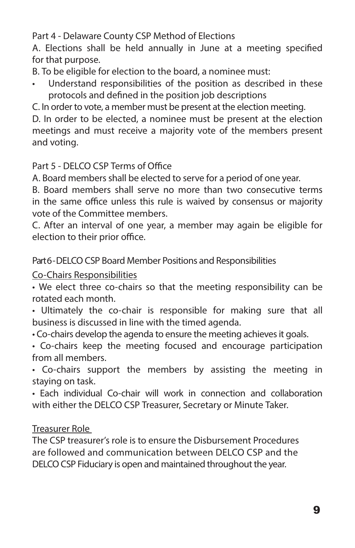Part 4 - Delaware County CSP Method of Elections

A. Elections shall be held annually in June at a meeting specified for that purpose.

B. To be eligible for election to the board, a nominee must:

Understand responsibilities of the position as described in these protocols and defined in the position job descriptions

C. In order to vote, a member must be present at the election meeting.

D. In order to be elected, a nominee must be present at the election meetings and must receive a majority vote of the members present and voting.

#### Part 5 - DELCO CSP Terms of Office

A. Board members shall be elected to serve for a period of one year.

B. Board members shall serve no more than two consecutive terms in the same office unless this rule is waived by consensus or majority vote of the Committee members.

C. After an interval of one year, a member may again be eligible for election to their prior office.

Part 6 - DELCO CSP Board Member Positions and Responsibilities

#### Co-Chairs Responsibilities

• We elect three co-chairs so that the meeting responsibility can be rotated each month.

• Ultimately the co-chair is responsible for making sure that all business is discussed in line with the timed agenda.

• Co-chairs develop the agenda to ensure the meeting achieves it goals.

• Co-chairs keep the meeting focused and encourage participation from all members.

• Co-chairs support the members by assisting the meeting in staying on task.

• Each individual Co-chair will work in connection and collaboration with either the DELCO CSP Treasurer, Secretary or Minute Taker.

#### Treasurer Role

The CSP treasurer's role is to ensure the Disbursement Procedures are followed and communication between DELCO CSP and the DELCO CSP Fiduciary is open and maintained throughout the year.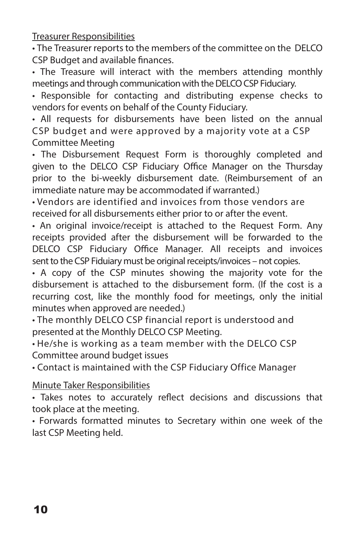Treasurer Responsibilities

• The Treasurer reports to the members of the committee on the DELCO CSP Budget and available finances.

• The Treasure will interact with the members attending monthly meetings and through communication with the DELCO CSP Fiduciary.

• Responsible for contacting and distributing expense checks to vendors for events on behalf of the County Fiduciary.

• All requests for disbursements have been listed on the annual CSP budget and were approved by a majority vote at a CSP Committee Meeting

• The Disbursement Request Form is thoroughly completed and given to the DELCO CSP Fiduciary Office Manager on the Thursday prior to the bi-weekly disbursement date. (Reimbursement of an immediate nature may be accommodated if warranted.)

• Vendors are identified and invoices from those vendors are received for all disbursements either prior to or after the event.

• An original invoice/receipt is attached to the Request Form. Any receipts provided after the disbursement will be forwarded to the DELCO CSP Fiduciary Office Manager. All receipts and invoices sent to the CSP Fiduiary must be original receipts/invoices – not copies.

• A copy of the CSP minutes showing the majority vote for the disbursement is attached to the disbursement form. (If the cost is a recurring cost, like the monthly food for meetings, only the initial minutes when approved are needed.)

• The monthly DELCO CSP financial report is understood and presented at the Monthly DELCO CSP Meeting.

• He/she is working as a team member with the DELCO CSP Committee around budget issues

• Contact is maintained with the CSP Fiduciary Office Manager

#### Minute Taker Responsibilities

• Takes notes to accurately reflect decisions and discussions that took place at the meeting.

• Forwards formatted minutes to Secretary within one week of the last CSP Meeting held.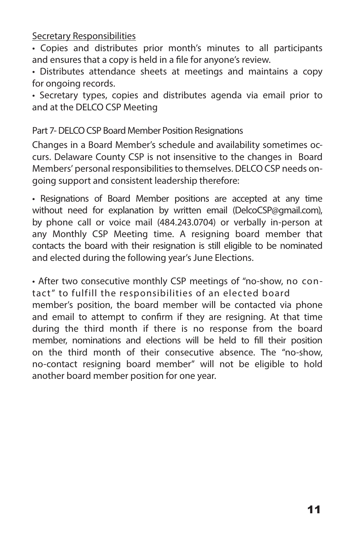Secretary Responsibilities

• Copies and distributes prior month's minutes to all participants and ensures that a copy is held in a file for anyone's review.

• Distributes attendance sheets at meetings and maintains a copy for ongoing records.

• Secretary types, copies and distributes agenda via email prior to and at the DELCO CSP Meeting

Part 7- DELCO CSP Board Member Position Resignations

Changes in a Board Member's schedule and availability sometimes occurs. Delaware County CSP is not insensitive to the changes in Board Members' personal responsibilities to themselves. DELCO CSP needs ongoing support and consistent leadership therefore:

• Resignations of Board Member positions are accepted at any time without need for explanation by written email (DelcoCSP@gmail.com), by phone call or voice mail (484.243.0704) or verbally in-person at any Monthly CSP Meeting time. A resigning board member that contacts the board with their resignation is still eligible to be nominated and elected during the following year's June Elections.

• After two consecutive monthly CSP meetings of "no-show, no contact" to fulfill the responsibilities of an elected board member's position, the board member will be contacted via phone and email to attempt to confirm if they are resigning. At that time during the third month if there is no response from the board member, nominations and elections will be held to fill their position on the third month of their consecutive absence. The "no-show, no-contact resigning board member" will not be eligible to hold another board member position for one year.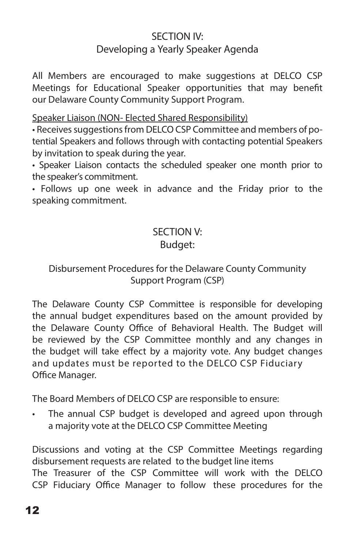## SECTION IV: Developing a Yearly Speaker Agenda

All Members are encouraged to make suggestions at DELCO CSP Meetings for Educational Speaker opportunities that may benefit our Delaware County Community Support Program.

Speaker Liaison (NON- Elected Shared Responsibility)

• Receives suggestions from DELCO CSP Committee and members of potential Speakers and follows through with contacting potential Speakers by invitation to speak during the year.

• Speaker Liaison contacts the scheduled speaker one month prior to the speaker's commitment.

• Follows up one week in advance and the Friday prior to the speaking commitment.

#### SECTION V: Budget:

### Disbursement Procedures for the Delaware County Community Support Program (CSP)

The Delaware County CSP Committee is responsible for developing the annual budget expenditures based on the amount provided by the Delaware County Office of Behavioral Health. The Budget will be reviewed by the CSP Committee monthly and any changes in the budget will take effect by a majority vote. Any budget changes and updates must be reported to the DELCO CSP Fiduciary Office Manager.

The Board Members of DELCO CSP are responsible to ensure:

The annual CSP budget is developed and agreed upon through a majority vote at the DELCO CSP Committee Meeting

Discussions and voting at the CSP Committee Meetings regarding disbursement requests are related to the budget line items The Treasurer of the CSP Committee will work with the DELCO CSP Fiduciary Office Manager to follow these procedures for the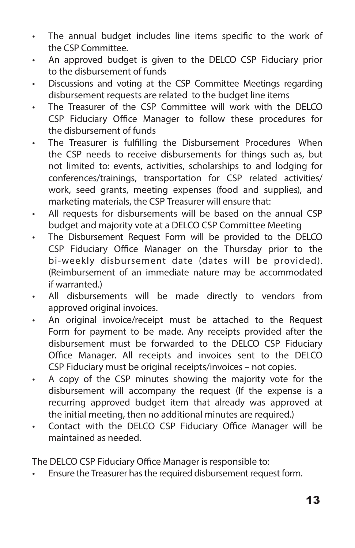- The annual budget includes line items specific to the work of the CSP Committee.
- An approved budget is given to the DELCO CSP Fiduciary prior to the disbursement of funds
- Discussions and voting at the CSP Committee Meetings regarding disbursement requests are related to the budget line items
- The Treasurer of the CSP Committee will work with the DELCO CSP Fiduciary Office Manager to follow these procedures for the disbursement of funds
- The Treasurer is fulfilling the Disbursement Procedures When the CSP needs to receive disbursements for things such as, but not limited to: events, activities, scholarships to and lodging for conferences/trainings, transportation for CSP related activities/ work, seed grants, meeting expenses (food and supplies), and marketing materials, the CSP Treasurer will ensure that:
- All requests for disbursements will be based on the annual CSP budget and majority vote at a DELCO CSP Committee Meeting
- The Disbursement Request Form will be provided to the DELCO CSP Fiduciary Office Manager on the Thursday prior to the bi-weekly disbursement date (dates will be provided). (Reimbursement of an immediate nature may be accommodated if warranted.)
- All disbursements will be made directly to vendors from approved original invoices.
- An original invoice/receipt must be attached to the Request Form for payment to be made. Any receipts provided after the disbursement must be forwarded to the DELCO CSP Fiduciary Office Manager. All receipts and invoices sent to the DELCO CSP Fiduciary must be original receipts/invoices – not copies.
- A copy of the CSP minutes showing the majority vote for the disbursement will accompany the request (If the expense is a recurring approved budget item that already was approved at the initial meeting, then no additional minutes are required.)
- Contact with the DELCO CSP Fiduciary Office Manager will be maintained as needed.

The DELCO CSP Fiduciary Office Manager is responsible to:

• Ensure the Treasurer has the required disbursement request form.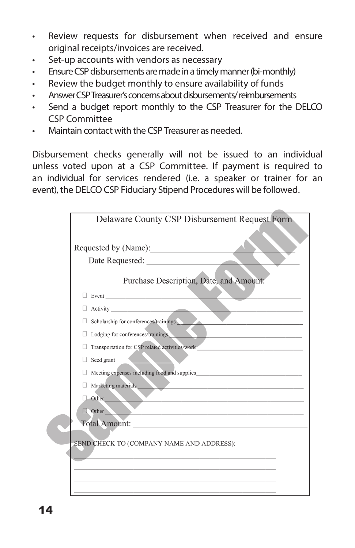- Review requests for disbursement when received and ensure original receipts/invoices are received.
- Set-up accounts with vendors as necessary
- Ensure CSP disbursements are made in a timely manner (bi-monthly)
- Review the budget monthly to ensure availability of funds
- Answer CSP Treasurer's concerns about disbursements/ reimbursements
- Send a budget report monthly to the CSP Treasurer for the DELCO CSP Committee
- Maintain contact with the CSP Treasurer as needed.

Disbursement checks generally will not be issued to an individual unless voted upon at a CSP Committee. If payment is required to an individual for services rendered (i.e. a speaker or trainer for an event), the DELCO CSP Fiduciary Stipend Procedures will be followed.

| Delaware County CSP Disbursement Request Form                                                                                                                                                                                       |
|-------------------------------------------------------------------------------------------------------------------------------------------------------------------------------------------------------------------------------------|
|                                                                                                                                                                                                                                     |
|                                                                                                                                                                                                                                     |
| Purchase Description, Date, and Amount:                                                                                                                                                                                             |
| $\Box$ Event $\Box$                                                                                                                                                                                                                 |
| Activity <u>and</u> the contract of the contract of the contract of the contract of the contract of the contract of the contract of the contract of the contract of the contract of the contract of the contract of the contract of |
| Scholarship for conferences/trainings                                                                                                                                                                                               |
| $\Box$ Lodging for conferences/trainings                                                                                                                                                                                            |
| Transportation for CSP related activities/work                                                                                                                                                                                      |
| $\blacksquare$<br>Seed grant                                                                                                                                                                                                        |
| Meeting expenses including food and supplies                                                                                                                                                                                        |
| $\Box$ Marketing materials                                                                                                                                                                                                          |
| <b>Other</b>                                                                                                                                                                                                                        |
| $\Box$ Other<br>the control of the property of the control of the control of the control of                                                                                                                                         |
| Total Amount:                                                                                                                                                                                                                       |
| SEND CHECK TO (COMPANY NAME AND ADDRESS):                                                                                                                                                                                           |
|                                                                                                                                                                                                                                     |
|                                                                                                                                                                                                                                     |
|                                                                                                                                                                                                                                     |